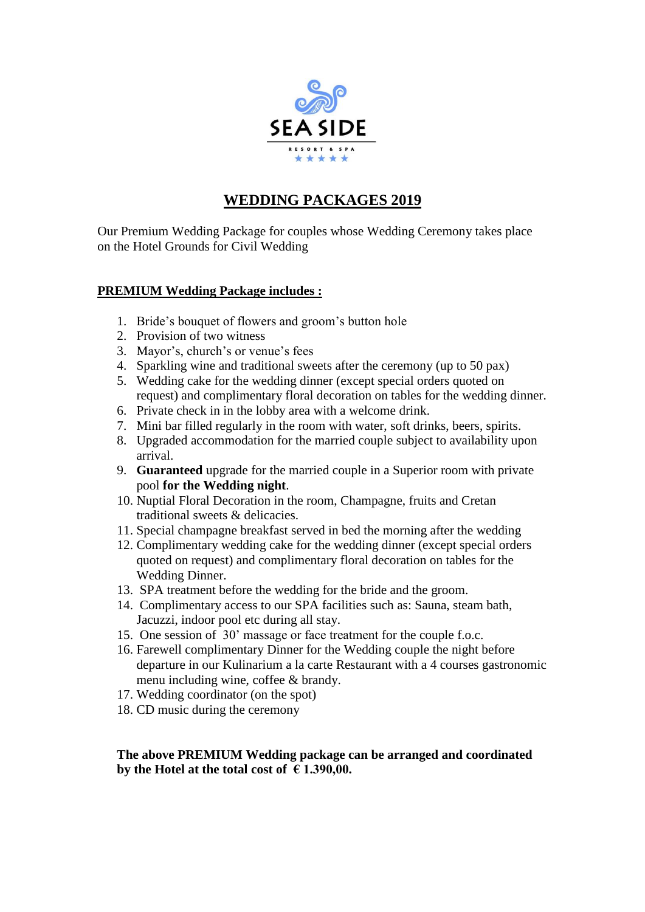

# **WEDDING PACKAGES 2019**

Our Premium Wedding Package for couples whose Wedding Ceremony takes place on the Hotel Grounds for Civil Wedding

## **PREMIUM Wedding Package includes :**

- 1. Bride's bouquet of flowers and groom's button hole
- 2. Provision of two witness
- 3. Mayor's, church's or venue's fees
- 4. Sparkling wine and traditional sweets after the ceremony (up to 50 pax)
- 5. Wedding cake for the wedding dinner (except special orders quoted on request) and complimentary floral decoration on tables for the wedding dinner.
- 6. Private check in in the lobby area with a welcome drink.
- 7. Mini bar filled regularly in the room with water, soft drinks, beers, spirits.
- 8. Upgraded accommodation for the married couple subject to availability upon arrival.
- 9. **Guaranteed** upgrade for the married couple in a Superior room with private pool **for the Wedding night**.
- 10. Nuptial Floral Decoration in the room, Champagne, fruits and Cretan traditional sweets & delicacies.
- 11. Special champagne breakfast served in bed the morning after the wedding
- 12. Complimentary wedding cake for the wedding dinner (except special orders quoted on request) and complimentary floral decoration on tables for the Wedding Dinner.
- 13. SPA treatment before the wedding for the bride and the groom.
- 14. Complimentary access to our SPA facilities such as: Sauna, steam bath, Jacuzzi, indoor pool etc during all stay.
- 15. One session of 30' massage or face treatment for the couple f.o.c.
- 16. Farewell complimentary Dinner for the Wedding couple the night before departure in our Kulinarium a la carte Restaurant with a 4 courses gastronomic menu including wine, coffee & brandy.
- 17. Wedding coordinator (on the spot)
- 18. CD music during the ceremony

**The above PREMIUM Wedding package can be arranged and coordinated**  by the Hotel at the total cost of  $\epsilon$  1.390,00.